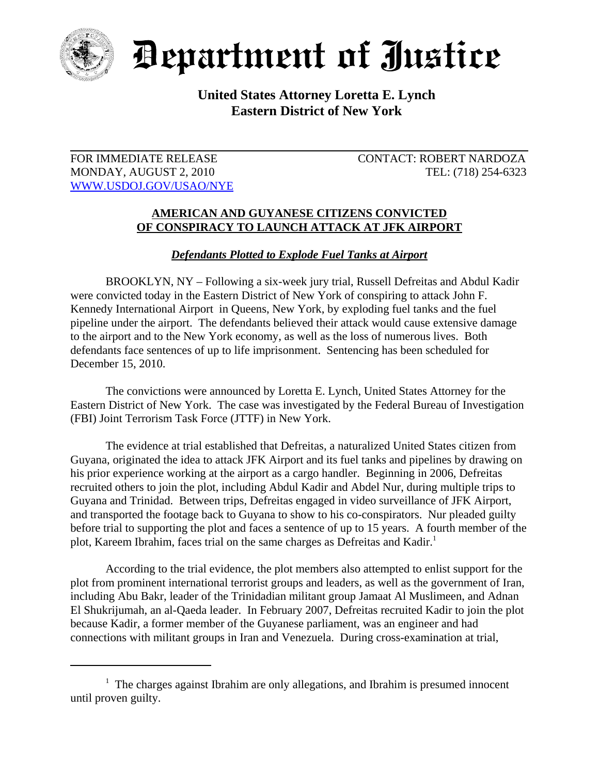

Department of Justice

## **United States Attorney Loretta E. Lynch Eastern District of New York**

WWW.USDOJ.GOV/USAO/NYE

FOR IMMEDIATE RELEASE CONTACT: ROBERT NARDOZA MONDAY, AUGUST 2, 2010 TEL: (718) 254-6323

## **AMERICAN AND GUYANESE CITIZENS CONVICTED OF CONSPIRACY TO LAUNCH ATTACK AT JFK AIRPORT**

*Defendants Plotted to Explode Fuel Tanks at Airport*

BROOKLYN, NY – Following a six-week jury trial, Russell Defreitas and Abdul Kadir were convicted today in the Eastern District of New York of conspiring to attack John F. Kennedy International Airport in Queens, New York, by exploding fuel tanks and the fuel pipeline under the airport. The defendants believed their attack would cause extensive damage to the airport and to the New York economy, as well as the loss of numerous lives. Both defendants face sentences of up to life imprisonment. Sentencing has been scheduled for December 15, 2010.

The convictions were announced by Loretta E. Lynch, United States Attorney for the Eastern District of New York. The case was investigated by the Federal Bureau of Investigation (FBI) Joint Terrorism Task Force (JTTF) in New York.

The evidence at trial established that Defreitas, a naturalized United States citizen from Guyana, originated the idea to attack JFK Airport and its fuel tanks and pipelines by drawing on his prior experience working at the airport as a cargo handler. Beginning in 2006, Defreitas recruited others to join the plot, including Abdul Kadir and Abdel Nur, during multiple trips to Guyana and Trinidad. Between trips, Defreitas engaged in video surveillance of JFK Airport, and transported the footage back to Guyana to show to his co-conspirators. Nur pleaded guilty before trial to supporting the plot and faces a sentence of up to 15 years. A fourth member of the plot, Kareem Ibrahim, faces trial on the same charges as Defreitas and Kadir.<sup>1</sup>

According to the trial evidence, the plot members also attempted to enlist support for the plot from prominent international terrorist groups and leaders, as well as the government of Iran, including Abu Bakr, leader of the Trinidadian militant group Jamaat Al Muslimeen, and Adnan El Shukrijumah, an al-Qaeda leader. In February 2007, Defreitas recruited Kadir to join the plot because Kadir, a former member of the Guyanese parliament, was an engineer and had connections with militant groups in Iran and Venezuela. During cross-examination at trial,

<sup>&</sup>lt;sup>1</sup> The charges against Ibrahim are only allegations, and Ibrahim is presumed innocent until proven guilty.